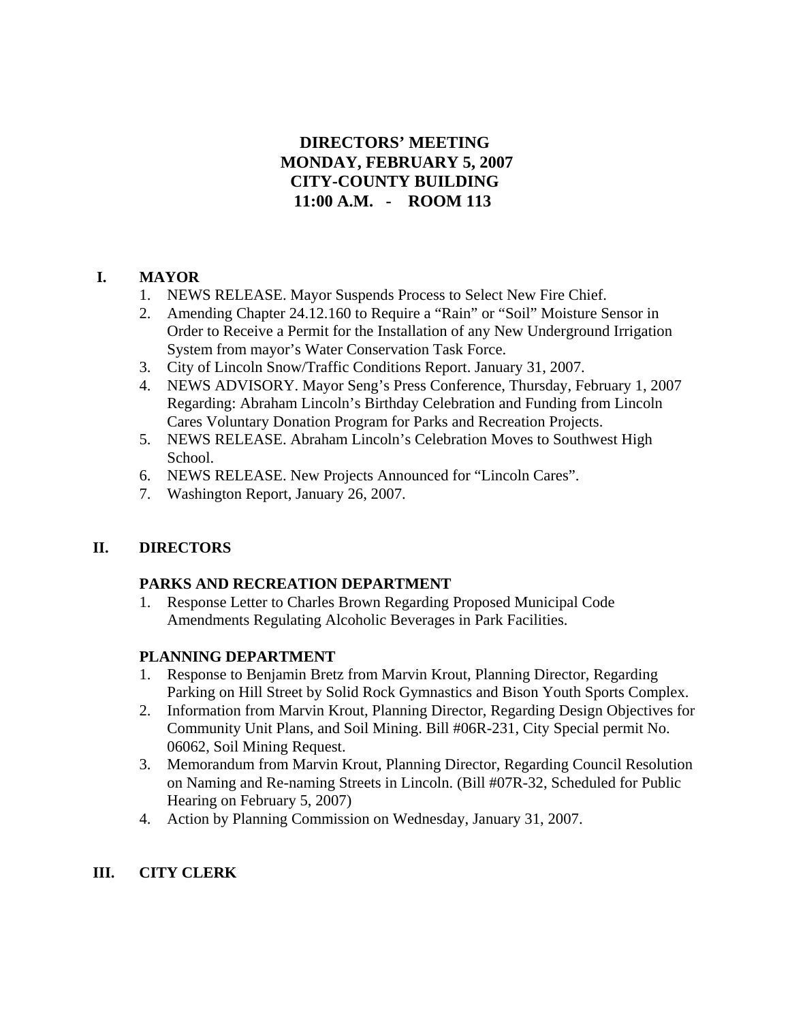# **DIRECTORS' MEETING MONDAY, FEBRUARY 5, 2007 CITY-COUNTY BUILDING 11:00 A.M. - ROOM 113**

# **I. MAYOR**

- 1. NEWS RELEASE. Mayor Suspends Process to Select New Fire Chief.
- 2. Amending Chapter 24.12.160 to Require a "Rain" or "Soil" Moisture Sensor in Order to Receive a Permit for the Installation of any New Underground Irrigation System from mayor's Water Conservation Task Force.
- 3. City of Lincoln Snow/Traffic Conditions Report. January 31, 2007.
- 4. NEWS ADVISORY. Mayor Seng's Press Conference, Thursday, February 1, 2007 Regarding: Abraham Lincoln's Birthday Celebration and Funding from Lincoln Cares Voluntary Donation Program for Parks and Recreation Projects.
- 5. NEWS RELEASE. Abraham Lincoln's Celebration Moves to Southwest High School.
- 6. NEWS RELEASE. New Projects Announced for "Lincoln Cares".
- 7. Washington Report, January 26, 2007.

# **II. DIRECTORS**

## **PARKS AND RECREATION DEPARTMENT**

1. Response Letter to Charles Brown Regarding Proposed Municipal Code Amendments Regulating Alcoholic Beverages in Park Facilities.

# **PLANNING DEPARTMENT**

- 1. Response to Benjamin Bretz from Marvin Krout, Planning Director, Regarding Parking on Hill Street by Solid Rock Gymnastics and Bison Youth Sports Complex.
- 2. Information from Marvin Krout, Planning Director, Regarding Design Objectives for Community Unit Plans, and Soil Mining. Bill #06R-231, City Special permit No. 06062, Soil Mining Request.
- 3. Memorandum from Marvin Krout, Planning Director, Regarding Council Resolution on Naming and Re-naming Streets in Lincoln. (Bill #07R-32, Scheduled for Public Hearing on February 5, 2007)
- 4. Action by Planning Commission on Wednesday, January 31, 2007.

# **III. CITY CLERK**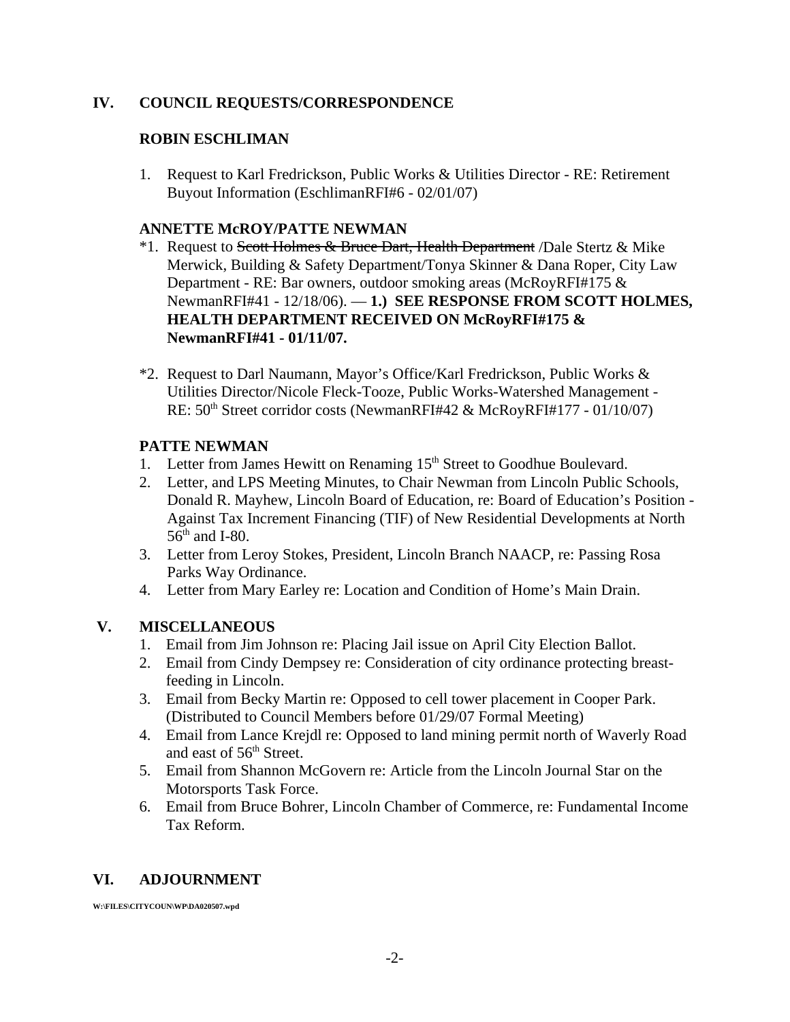## **IV. COUNCIL REQUESTS/CORRESPONDENCE**

## **ROBIN ESCHLIMAN**

1. Request to Karl Fredrickson, Public Works & Utilities Director - RE: Retirement Buyout Information (EschlimanRFI#6 - 02/01/07)

### **ANNETTE McROY/PATTE NEWMAN**

- <sup>\*</sup>1. Request to Scott Holmes & Bruce Dart, Health Department /Dale Stertz & Mike Merwick, Building & Safety Department/Tonya Skinner & Dana Roper, City Law Department - RE: Bar owners, outdoor smoking areas (McRoyRFI#175 & NewmanRFI#41 - 12/18/06). — **1.) SEE RESPONSE FROM SCOTT HOLMES, HEALTH DEPARTMENT RECEIVED ON McRoyRFI#175 & NewmanRFI#41 - 01/11/07.**
- \*2. Request to Darl Naumann, Mayor's Office/Karl Fredrickson, Public Works & Utilities Director/Nicole Fleck-Tooze, Public Works-Watershed Management - RE:  $50<sup>th</sup> Street corridor costs (NewmanRFI#42 & McRoyRFI#177 - 01/10/07)$

### **PATTE NEWMAN**

- 1. Letter from James Hewitt on Renaming 15<sup>th</sup> Street to Goodhue Boulevard.
- 2. Letter, and LPS Meeting Minutes, to Chair Newman from Lincoln Public Schools, Donald R. Mayhew, Lincoln Board of Education, re: Board of Education's Position - Against Tax Increment Financing (TIF) of New Residential Developments at North  $56<sup>th</sup>$  and I-80.
- 3. Letter from Leroy Stokes, President, Lincoln Branch NAACP, re: Passing Rosa Parks Way Ordinance.
- 4. Letter from Mary Earley re: Location and Condition of Home's Main Drain.

### **V. MISCELLANEOUS**

- 1. Email from Jim Johnson re: Placing Jail issue on April City Election Ballot.
- 2. Email from Cindy Dempsey re: Consideration of city ordinance protecting breastfeeding in Lincoln.
- 3. Email from Becky Martin re: Opposed to cell tower placement in Cooper Park. (Distributed to Council Members before 01/29/07 Formal Meeting)
- 4. Email from Lance Krejdl re: Opposed to land mining permit north of Waverly Road and east of 56<sup>th</sup> Street.
- 5. Email from Shannon McGovern re: Article from the Lincoln Journal Star on the Motorsports Task Force.
- 6. Email from Bruce Bohrer, Lincoln Chamber of Commerce, re: Fundamental Income Tax Reform.

### **VI. ADJOURNMENT**

**W:\FILES\CITYCOUN\WP\DA020507.wpd**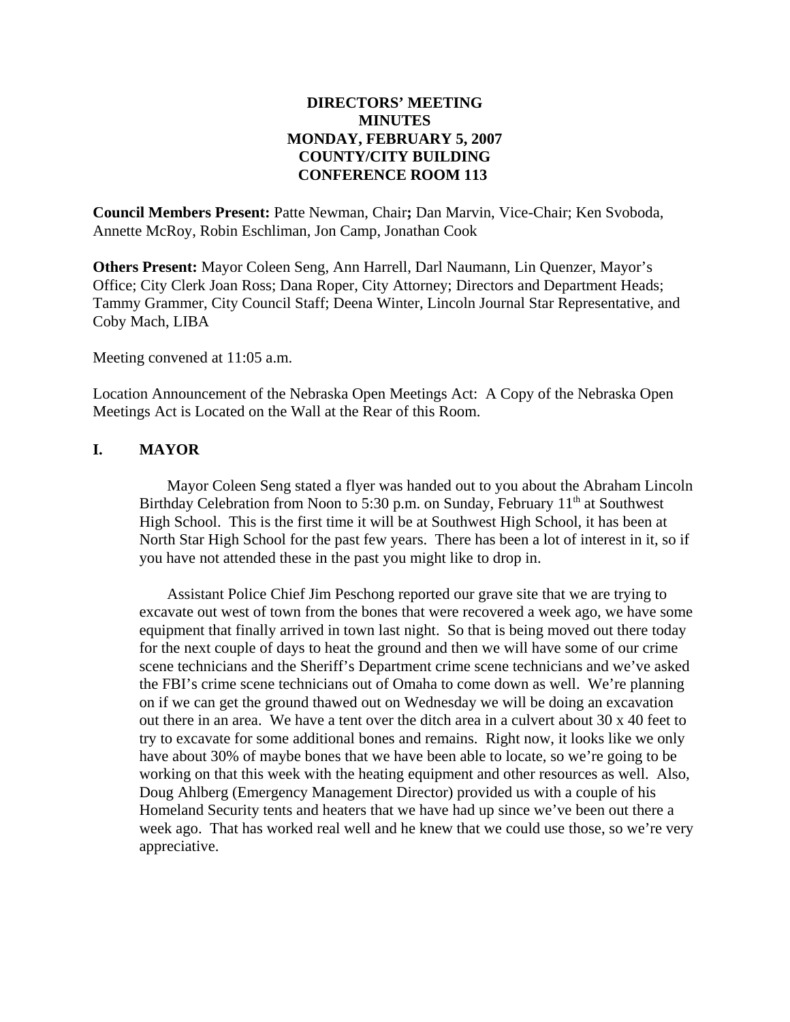## **DIRECTORS' MEETING MINUTES MONDAY, FEBRUARY 5, 2007 COUNTY/CITY BUILDING CONFERENCE ROOM 113**

**Council Members Present:** Patte Newman, Chair**;** Dan Marvin, Vice-Chair; Ken Svoboda, Annette McRoy, Robin Eschliman, Jon Camp, Jonathan Cook

**Others Present:** Mayor Coleen Seng, Ann Harrell, Darl Naumann, Lin Quenzer, Mayor's Office; City Clerk Joan Ross; Dana Roper, City Attorney; Directors and Department Heads; Tammy Grammer, City Council Staff; Deena Winter, Lincoln Journal Star Representative, and Coby Mach, LIBA

Meeting convened at 11:05 a.m.

Location Announcement of the Nebraska Open Meetings Act: A Copy of the Nebraska Open Meetings Act is Located on the Wall at the Rear of this Room.

## **I. MAYOR**

Mayor Coleen Seng stated a flyer was handed out to you about the Abraham Lincoln Birthday Celebration from Noon to 5:30 p.m. on Sunday, February  $11<sup>th</sup>$  at Southwest High School. This is the first time it will be at Southwest High School, it has been at North Star High School for the past few years. There has been a lot of interest in it, so if you have not attended these in the past you might like to drop in.

Assistant Police Chief Jim Peschong reported our grave site that we are trying to excavate out west of town from the bones that were recovered a week ago, we have some equipment that finally arrived in town last night. So that is being moved out there today for the next couple of days to heat the ground and then we will have some of our crime scene technicians and the Sheriff's Department crime scene technicians and we've asked the FBI's crime scene technicians out of Omaha to come down as well. We're planning on if we can get the ground thawed out on Wednesday we will be doing an excavation out there in an area. We have a tent over the ditch area in a culvert about 30 x 40 feet to try to excavate for some additional bones and remains. Right now, it looks like we only have about 30% of maybe bones that we have been able to locate, so we're going to be working on that this week with the heating equipment and other resources as well. Also, Doug Ahlberg (Emergency Management Director) provided us with a couple of his Homeland Security tents and heaters that we have had up since we've been out there a week ago. That has worked real well and he knew that we could use those, so we're very appreciative.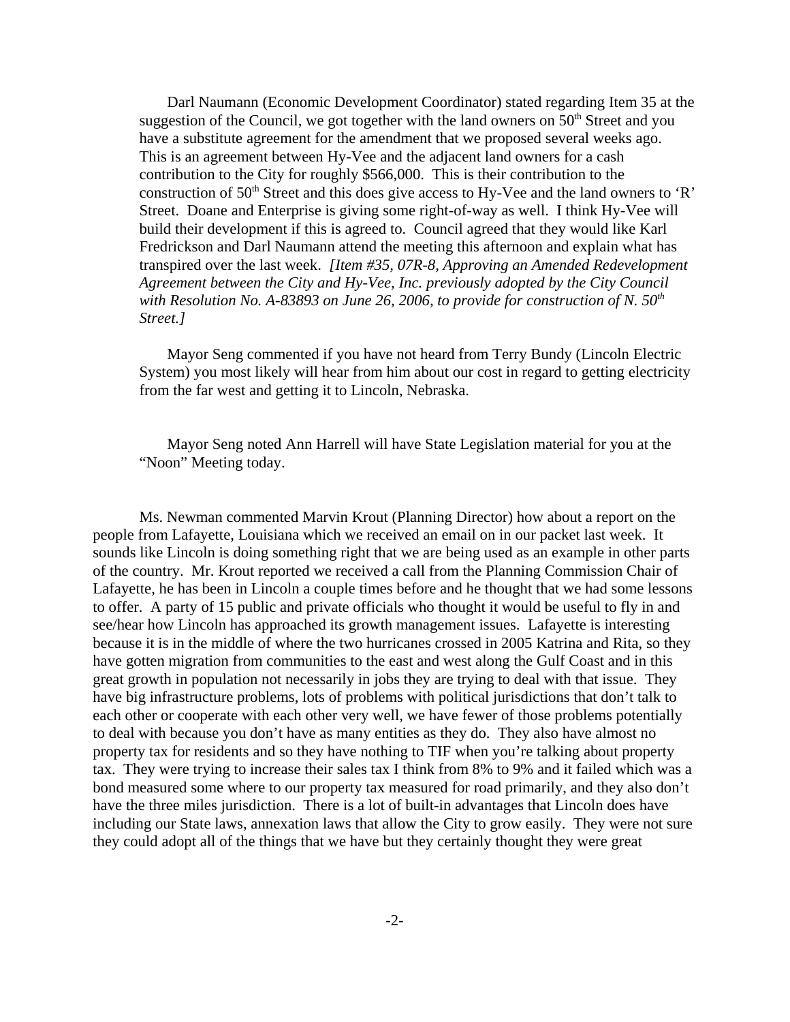Darl Naumann (Economic Development Coordinator) stated regarding Item 35 at the suggestion of the Council, we got together with the land owners on  $50<sup>th</sup>$  Street and you have a substitute agreement for the amendment that we proposed several weeks ago. This is an agreement between Hy-Vee and the adjacent land owners for a cash contribution to the City for roughly \$566,000. This is their contribution to the construction of  $50<sup>th</sup>$  Street and this does give access to Hy-Vee and the land owners to 'R' Street. Doane and Enterprise is giving some right-of-way as well. I think Hy-Vee will build their development if this is agreed to. Council agreed that they would like Karl Fredrickson and Darl Naumann attend the meeting this afternoon and explain what has transpired over the last week. *[Item #35, 07R-8, Approving an Amended Redevelopment Agreement between the City and Hy-Vee, Inc. previously adopted by the City Council* with Resolution No. A-83893 on June 26, 2006, to provide for construction of N. 50<sup>th</sup> *Street.]* 

Mayor Seng commented if you have not heard from Terry Bundy (Lincoln Electric System) you most likely will hear from him about our cost in regard to getting electricity from the far west and getting it to Lincoln, Nebraska.

Mayor Seng noted Ann Harrell will have State Legislation material for you at the "Noon" Meeting today.

Ms. Newman commented Marvin Krout (Planning Director) how about a report on the people from Lafayette, Louisiana which we received an email on in our packet last week. It sounds like Lincoln is doing something right that we are being used as an example in other parts of the country. Mr. Krout reported we received a call from the Planning Commission Chair of Lafayette, he has been in Lincoln a couple times before and he thought that we had some lessons to offer. A party of 15 public and private officials who thought it would be useful to fly in and see/hear how Lincoln has approached its growth management issues. Lafayette is interesting because it is in the middle of where the two hurricanes crossed in 2005 Katrina and Rita, so they have gotten migration from communities to the east and west along the Gulf Coast and in this great growth in population not necessarily in jobs they are trying to deal with that issue. They have big infrastructure problems, lots of problems with political jurisdictions that don't talk to each other or cooperate with each other very well, we have fewer of those problems potentially to deal with because you don't have as many entities as they do. They also have almost no property tax for residents and so they have nothing to TIF when you're talking about property tax. They were trying to increase their sales tax I think from 8% to 9% and it failed which was a bond measured some where to our property tax measured for road primarily, and they also don't have the three miles jurisdiction. There is a lot of built-in advantages that Lincoln does have including our State laws, annexation laws that allow the City to grow easily. They were not sure they could adopt all of the things that we have but they certainly thought they were great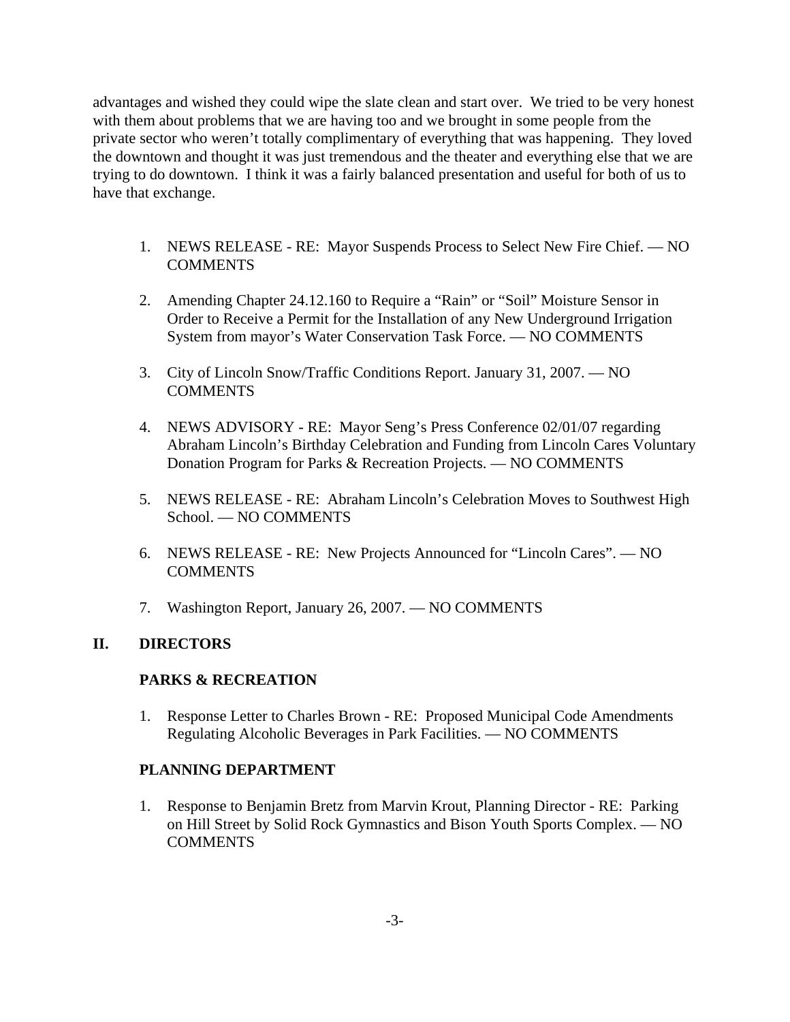advantages and wished they could wipe the slate clean and start over. We tried to be very honest with them about problems that we are having too and we brought in some people from the private sector who weren't totally complimentary of everything that was happening. They loved the downtown and thought it was just tremendous and the theater and everything else that we are trying to do downtown. I think it was a fairly balanced presentation and useful for both of us to have that exchange.

- 1. NEWS RELEASE RE: Mayor Suspends Process to Select New Fire Chief. NO COMMENTS
- 2. Amending Chapter 24.12.160 to Require a "Rain" or "Soil" Moisture Sensor in Order to Receive a Permit for the Installation of any New Underground Irrigation System from mayor's Water Conservation Task Force. — NO COMMENTS
- 3. City of Lincoln Snow/Traffic Conditions Report. January 31, 2007. NO **COMMENTS**
- 4. NEWS ADVISORY RE: Mayor Seng's Press Conference 02/01/07 regarding Abraham Lincoln's Birthday Celebration and Funding from Lincoln Cares Voluntary Donation Program for Parks & Recreation Projects. — NO COMMENTS
- 5. NEWS RELEASE RE: Abraham Lincoln's Celebration Moves to Southwest High School. — NO COMMENTS
- 6. NEWS RELEASE RE: New Projects Announced for "Lincoln Cares". NO COMMENTS
- 7. Washington Report, January 26, 2007. NO COMMENTS

## **II. DIRECTORS**

### **PARKS & RECREATION**

1. Response Letter to Charles Brown - RE: Proposed Municipal Code Amendments Regulating Alcoholic Beverages in Park Facilities. — NO COMMENTS

## **PLANNING DEPARTMENT**

1. Response to Benjamin Bretz from Marvin Krout, Planning Director - RE: Parking on Hill Street by Solid Rock Gymnastics and Bison Youth Sports Complex. — NO COMMENTS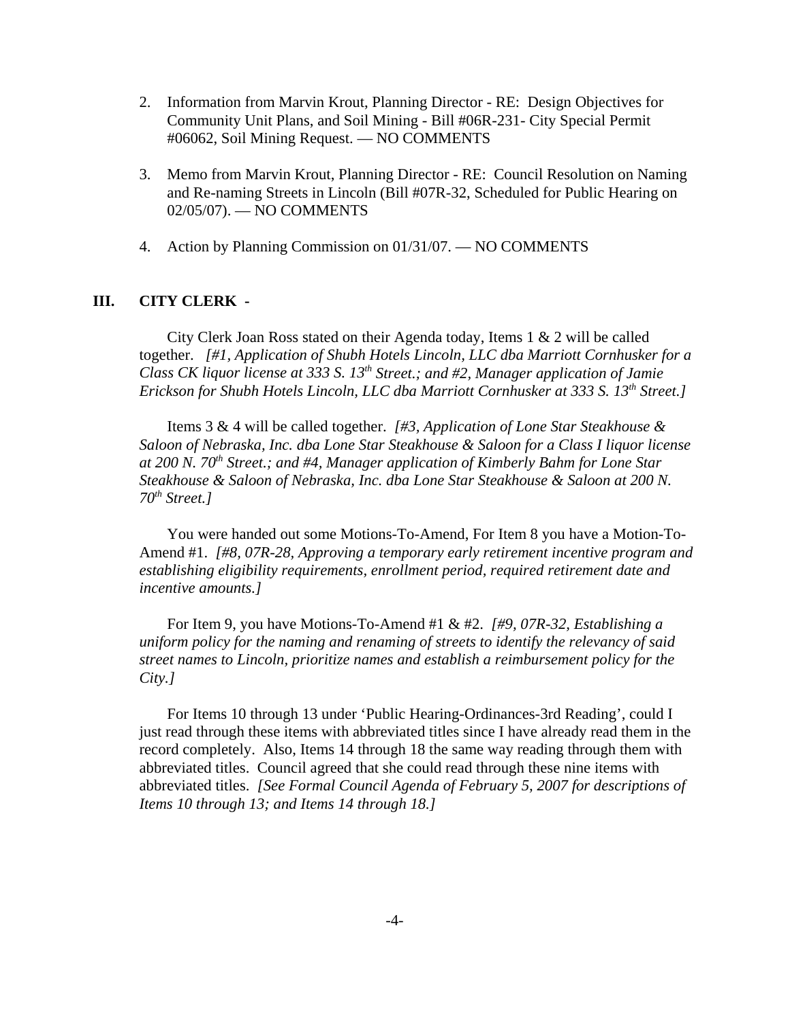- 2. Information from Marvin Krout, Planning Director RE: Design Objectives for Community Unit Plans, and Soil Mining - Bill #06R-231- City Special Permit #06062, Soil Mining Request. — NO COMMENTS
- 3. Memo from Marvin Krout, Planning Director RE: Council Resolution on Naming and Re-naming Streets in Lincoln (Bill #07R-32, Scheduled for Public Hearing on 02/05/07). — NO COMMENTS
- 4. Action by Planning Commission on 01/31/07. NO COMMENTS

### **III. CITY CLERK -**

City Clerk Joan Ross stated on their Agenda today, Items  $1 \& 2$  will be called together. *[#1, Application of Shubh Hotels Lincoln, LLC dba Marriott Cornhusker for a Class CK liquor license at 333 S. 13<sup>th</sup> Street.; and #2, Manager application of Jamie Erickson for Shubh Hotels Lincoln, LLC dba Marriott Cornhusker at 333 S. 13th Street.]* 

Items 3 & 4 will be called together. *[#3, Application of Lone Star Steakhouse & Saloon of Nebraska, Inc. dba Lone Star Steakhouse & Saloon for a Class I liquor license at 200 N. 70th Street.; and #4, Manager application of Kimberly Bahm for Lone Star Steakhouse & Saloon of Nebraska, Inc. dba Lone Star Steakhouse & Saloon at 200 N. 70th Street.]* 

You were handed out some Motions-To-Amend, For Item 8 you have a Motion-To-Amend #1. *[#8, 07R-28, Approving a temporary early retirement incentive program and establishing eligibility requirements, enrollment period, required retirement date and incentive amounts.]* 

For Item 9, you have Motions-To-Amend #1 & #2. *[#9, 07R-32, Establishing a uniform policy for the naming and renaming of streets to identify the relevancy of said street names to Lincoln, prioritize names and establish a reimbursement policy for the City.]*

For Items 10 through 13 under 'Public Hearing-Ordinances-3rd Reading', could I just read through these items with abbreviated titles since I have already read them in the record completely. Also, Items 14 through 18 the same way reading through them with abbreviated titles. Council agreed that she could read through these nine items with abbreviated titles. *[See Formal Council Agenda of February 5, 2007 for descriptions of Items 10 through 13; and Items 14 through 18.]*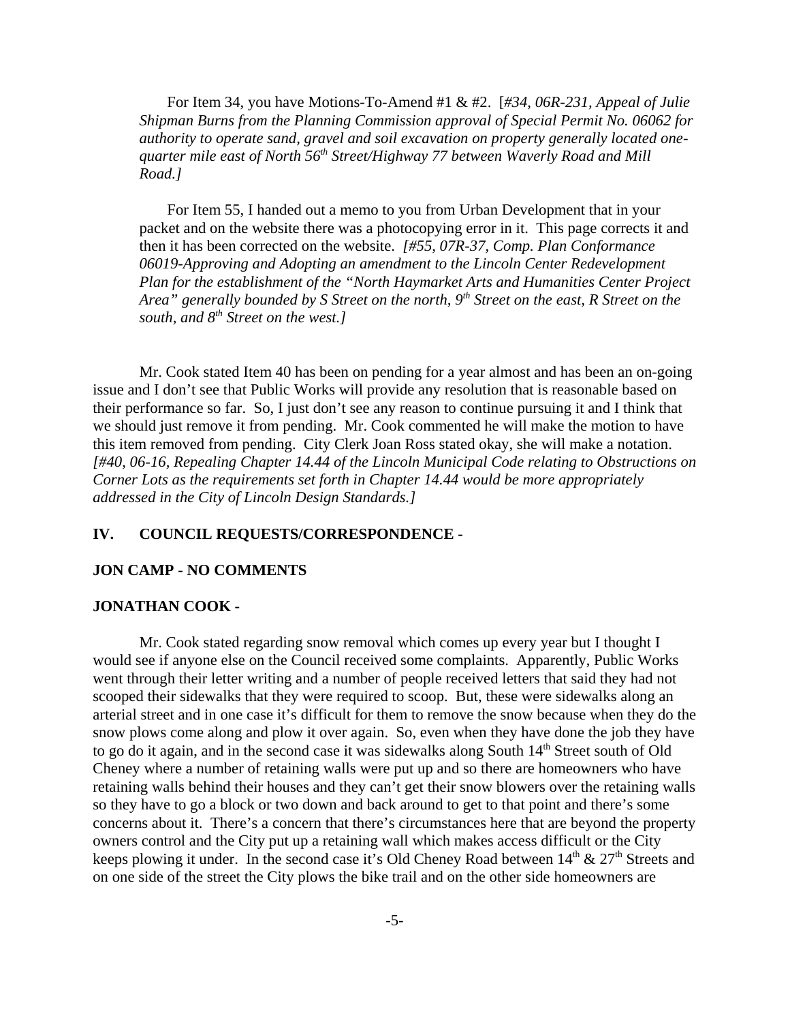For Item 34, you have Motions-To-Amend #1 & #2. [*#34, 06R-231, Appeal of Julie Shipman Burns from the Planning Commission approval of Special Permit No. 06062 for authority to operate sand, gravel and soil excavation on property generally located onequarter mile east of North 56th Street/Highway 77 between Waverly Road and Mill Road.]* 

For Item 55, I handed out a memo to you from Urban Development that in your packet and on the website there was a photocopying error in it. This page corrects it and then it has been corrected on the website. *[#55, 07R-37, Comp. Plan Conformance 06019-Approving and Adopting an amendment to the Lincoln Center Redevelopment Plan for the establishment of the "North Haymarket Arts and Humanities Center Project Area" generally bounded by S Street on the north, 9th Street on the east, R Street on the south, and 8th Street on the west.]* 

Mr. Cook stated Item 40 has been on pending for a year almost and has been an on-going issue and I don't see that Public Works will provide any resolution that is reasonable based on their performance so far. So, I just don't see any reason to continue pursuing it and I think that we should just remove it from pending. Mr. Cook commented he will make the motion to have this item removed from pending. City Clerk Joan Ross stated okay, she will make a notation. *[#40, 06-16, Repealing Chapter 14.44 of the Lincoln Municipal Code relating to Obstructions on Corner Lots as the requirements set forth in Chapter 14.44 would be more appropriately addressed in the City of Lincoln Design Standards.]* 

### **IV. COUNCIL REQUESTS/CORRESPONDENCE -**

#### **JON CAMP - NO COMMENTS**

#### **JONATHAN COOK -**

Mr. Cook stated regarding snow removal which comes up every year but I thought I would see if anyone else on the Council received some complaints. Apparently, Public Works went through their letter writing and a number of people received letters that said they had not scooped their sidewalks that they were required to scoop. But, these were sidewalks along an arterial street and in one case it's difficult for them to remove the snow because when they do the snow plows come along and plow it over again. So, even when they have done the job they have to go do it again, and in the second case it was sidewalks along South 14<sup>th</sup> Street south of Old Cheney where a number of retaining walls were put up and so there are homeowners who have retaining walls behind their houses and they can't get their snow blowers over the retaining walls so they have to go a block or two down and back around to get to that point and there's some concerns about it. There's a concern that there's circumstances here that are beyond the property owners control and the City put up a retaining wall which makes access difficult or the City keeps plowing it under. In the second case it's Old Cheney Road between  $14<sup>th</sup>$  &  $27<sup>th</sup>$  Streets and on one side of the street the City plows the bike trail and on the other side homeowners are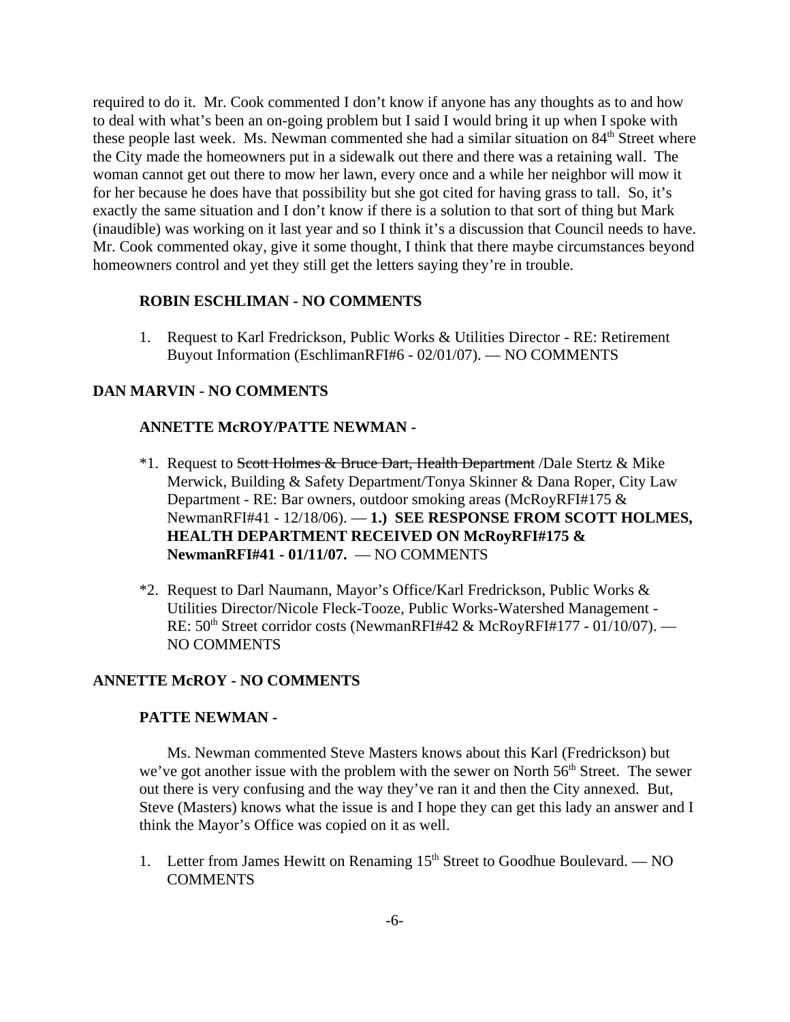required to do it. Mr. Cook commented I don't know if anyone has any thoughts as to and how to deal with what's been an on-going problem but I said I would bring it up when I spoke with these people last week. Ms. Newman commented she had a similar situation on  $84<sup>th</sup>$  Street where the City made the homeowners put in a sidewalk out there and there was a retaining wall. The woman cannot get out there to mow her lawn, every once and a while her neighbor will mow it for her because he does have that possibility but she got cited for having grass to tall. So, it's exactly the same situation and I don't know if there is a solution to that sort of thing but Mark (inaudible) was working on it last year and so I think it's a discussion that Council needs to have. Mr. Cook commented okay, give it some thought, I think that there maybe circumstances beyond homeowners control and yet they still get the letters saying they're in trouble.

### **ROBIN ESCHLIMAN - NO COMMENTS**

1. Request to Karl Fredrickson, Public Works & Utilities Director - RE: Retirement Buyout Information (EschlimanRFI#6 - 02/01/07). — NO COMMENTS

### **DAN MARVIN - NO COMMENTS**

### **ANNETTE McROY/PATTE NEWMAN -**

- <sup>\*</sup>1. Request to Scott Holmes & Bruce Dart, Health Department /Dale Stertz & Mike Merwick, Building & Safety Department/Tonya Skinner & Dana Roper, City Law Department - RE: Bar owners, outdoor smoking areas (McRoyRFI#175 & NewmanRFI#41 - 12/18/06). — **1.) SEE RESPONSE FROM SCOTT HOLMES, HEALTH DEPARTMENT RECEIVED ON McRoyRFI#175 & NewmanRFI#41 - 01/11/07.** — NO COMMENTS
- \*2. Request to Darl Naumann, Mayor's Office/Karl Fredrickson, Public Works & Utilities Director/Nicole Fleck-Tooze, Public Works-Watershed Management - RE: 50<sup>th</sup> Street corridor costs (NewmanRFI#42 & McRoyRFI#177 - 01/10/07). — NO COMMENTS

### **ANNETTE McROY - NO COMMENTS**

### **PATTE NEWMAN -**

Ms. Newman commented Steve Masters knows about this Karl (Fredrickson) but we've got another issue with the problem with the sewer on North  $56<sup>th</sup>$  Street. The sewer out there is very confusing and the way they've ran it and then the City annexed. But, Steve (Masters) knows what the issue is and I hope they can get this lady an answer and I think the Mayor's Office was copied on it as well.

1. Letter from James Hewitt on Renaming  $15<sup>th</sup>$  Street to Goodhue Boulevard. — NO **COMMENTS**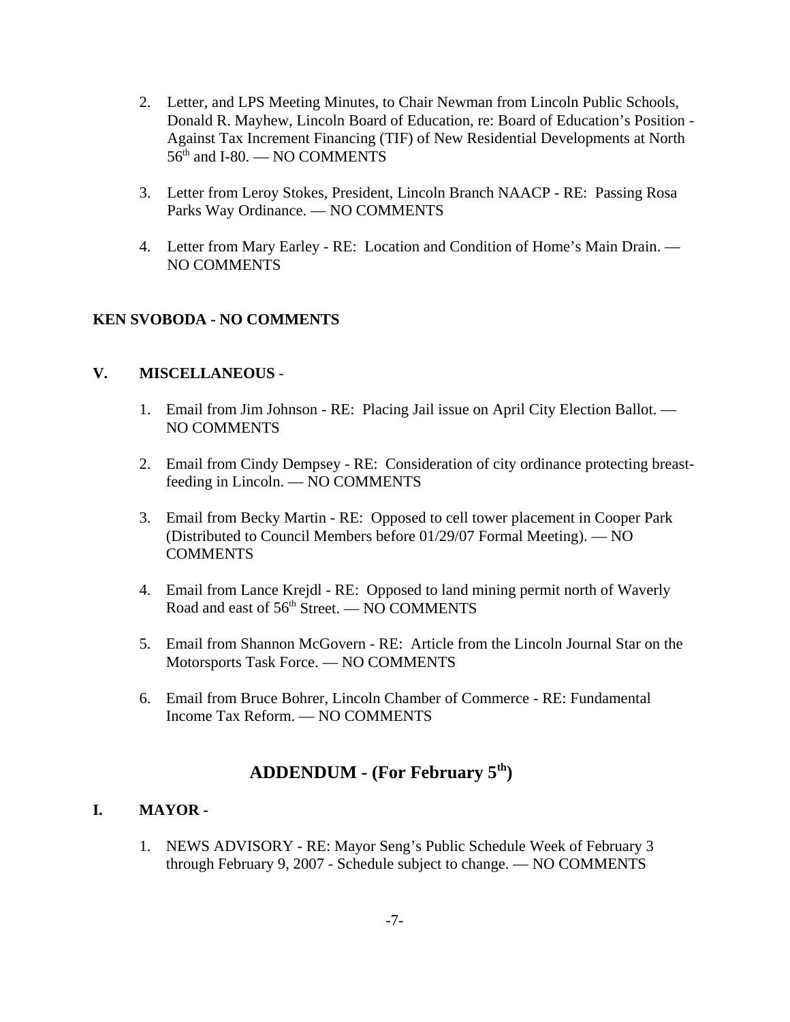- 2. Letter, and LPS Meeting Minutes, to Chair Newman from Lincoln Public Schools, Donald R. Mayhew, Lincoln Board of Education, re: Board of Education's Position - Against Tax Increment Financing (TIF) of New Residential Developments at North 56<sup>th</sup> and I-80. — NO COMMENTS
- 3. Letter from Leroy Stokes, President, Lincoln Branch NAACP RE: Passing Rosa Parks Way Ordinance. — NO COMMENTS
- 4. Letter from Mary Earley RE: Location and Condition of Home's Main Drain. NO COMMENTS

# **KEN SVOBODA - NO COMMENTS**

## **V. MISCELLANEOUS** -

- 1. Email from Jim Johnson RE: Placing Jail issue on April City Election Ballot. NO COMMENTS
- 2. Email from Cindy Dempsey RE: Consideration of city ordinance protecting breastfeeding in Lincoln. — NO COMMENTS
- 3. Email from Becky Martin RE: Opposed to cell tower placement in Cooper Park (Distributed to Council Members before 01/29/07 Formal Meeting). — NO **COMMENTS**
- 4. Email from Lance Krejdl RE: Opposed to land mining permit north of Waverly Road and east of 56<sup>th</sup> Street. — NO COMMENTS
- 5. Email from Shannon McGovern RE: Article from the Lincoln Journal Star on the Motorsports Task Force. — NO COMMENTS
- 6. Email from Bruce Bohrer, Lincoln Chamber of Commerce RE: Fundamental Income Tax Reform. — NO COMMENTS

# **ADDENDUM - (For February 5th)**

## **I. MAYOR -**

1. NEWS ADVISORY - RE: Mayor Seng's Public Schedule Week of February 3 through February 9, 2007 - Schedule subject to change. — NO COMMENTS